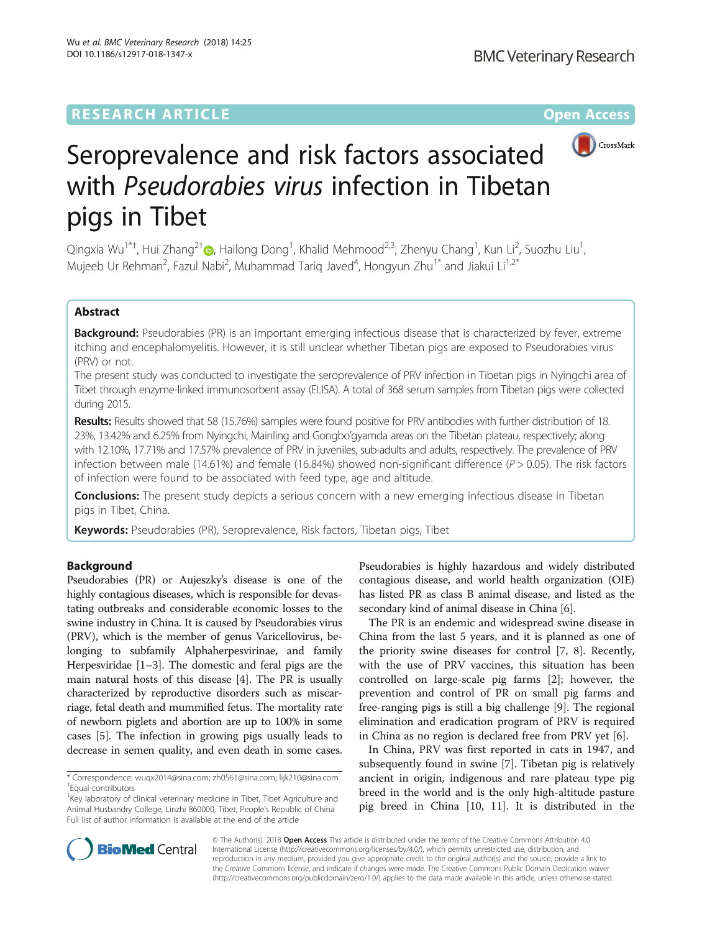DOI 10.1186/s12917-018-1347-x

Wu et al. BMC Veterinary Research (2018) 14:25

# **RESEARCH ARTICLE External Structure Community Community Community Community Community Community Community Community**



# Seroprevalence and risk factors associated with Pseudorabies virus infection in Tibetan pigs in Tibet

Qingxia Wu<sup>1\*†</sup>, Hui Zhang<sup>2†</sup>®, Hailong Dong<sup>1</sup>, Khalid Mehmood<sup>2,3</sup>, Zhenyu Chang<sup>1</sup>, Kun Li<sup>2</sup>, Suozhu Liu<sup>1</sup> , Mujeeb Ur Rehman<sup>2</sup>, Fazul Nabi<sup>2</sup>, Muhammad Tariq Javed<sup>4</sup>, Hongyun Zhu<sup>1\*</sup> and Jiakui Li<sup>1,2\*</sup>

# Abstract

Background: Pseudorabies (PR) is an important emerging infectious disease that is characterized by fever, extreme itching and encephalomyelitis. However, it is still unclear whether Tibetan pigs are exposed to Pseudorabies virus (PRV) or not.

The present study was conducted to investigate the seroprevalence of PRV infection in Tibetan pigs in Nyingchi area of Tibet through enzyme-linked immunosorbent assay (ELISA). A total of 368 serum samples from Tibetan pigs were collected during 2015.

Results: Results showed that 58 (15.76%) samples were found positive for PRV antibodies with further distribution of 18. 23%, 13.42% and 6.25% from Nyingchi, Mainling and Gongbo'gyamda areas on the Tibetan plateau, respectively; along with 12.10%, 17.71% and 17.57% prevalence of PRV in juveniles, sub-adults and adults, respectively. The prevalence of PRV infection between male (14.61%) and female (16.84%) showed non-significant difference ( $P > 0.05$ ). The risk factors of infection were found to be associated with feed type, age and altitude.

**Conclusions:** The present study depicts a serious concern with a new emerging infectious disease in Tibetan pigs in Tibet, China.

Keywords: Pseudorabies (PR), Seroprevalence, Risk factors, Tibetan pigs, Tibet

# Background

Pseudorabies (PR) or Aujeszky's disease is one of the highly contagious diseases, which is responsible for devastating outbreaks and considerable economic losses to the swine industry in China. It is caused by Pseudorabies virus (PRV), which is the member of genus Varicellovirus, belonging to subfamily Alphaherpesvirinae, and family Herpesviridae [[1](#page-3-0)–[3](#page-3-0)]. The domestic and feral pigs are the main natural hosts of this disease [\[4](#page-3-0)]. The PR is usually characterized by reproductive disorders such as miscarriage, fetal death and mummified fetus. The mortality rate of newborn piglets and abortion are up to 100% in some cases [\[5](#page-3-0)]. The infection in growing pigs usually leads to decrease in semen quality, and even death in some cases.

Pseudorabies is highly hazardous and widely distributed contagious disease, and world health organization (OIE) has listed PR as class B animal disease, and listed as the secondary kind of animal disease in China [[6](#page-3-0)].

The PR is an endemic and widespread swine disease in China from the last 5 years, and it is planned as one of the priority swine diseases for control [\[7](#page-3-0), [8\]](#page-3-0). Recently, with the use of PRV vaccines, this situation has been controlled on large-scale pig farms [[2\]](#page-3-0); however, the prevention and control of PR on small pig farms and free-ranging pigs is still a big challenge [[9\]](#page-3-0). The regional elimination and eradication program of PRV is required in China as no region is declared free from PRV yet [\[6](#page-3-0)].

In China, PRV was first reported in cats in 1947, and subsequently found in swine [\[7](#page-3-0)]. Tibetan pig is relatively ancient in origin, indigenous and rare plateau type pig breed in the world and is the only high-altitude pasture pig breed in China [[10, 11](#page-3-0)]. It is distributed in the



© The Author(s). 2018 Open Access This article is distributed under the terms of the Creative Commons Attribution 4.0 International License [\(http://creativecommons.org/licenses/by/4.0/](http://creativecommons.org/licenses/by/4.0/)), which permits unrestricted use, distribution, and reproduction in any medium, provided you give appropriate credit to the original author(s) and the source, provide a link to the Creative Commons license, and indicate if changes were made. The Creative Commons Public Domain Dedication waiver [\(http://creativecommons.org/publicdomain/zero/1.0/](http://creativecommons.org/publicdomain/zero/1.0/)) applies to the data made available in this article, unless otherwise stated.

<sup>\*</sup> Correspondence: [wuqx2014@sina.com](mailto:wuqx2014@sina.com); [zh0561@sina.com;](mailto:zh0561@sina.com) [lijk210@sina.com](mailto:lijk210@sina.com) † Equal contributors

<sup>&</sup>lt;sup>1</sup>Key laboratory of clinical veterinary medicine in Tibet, Tibet Agriculture and Animal Husbandry College, Linzhi 860000, Tibet, People's Republic of China Full list of author information is available at the end of the article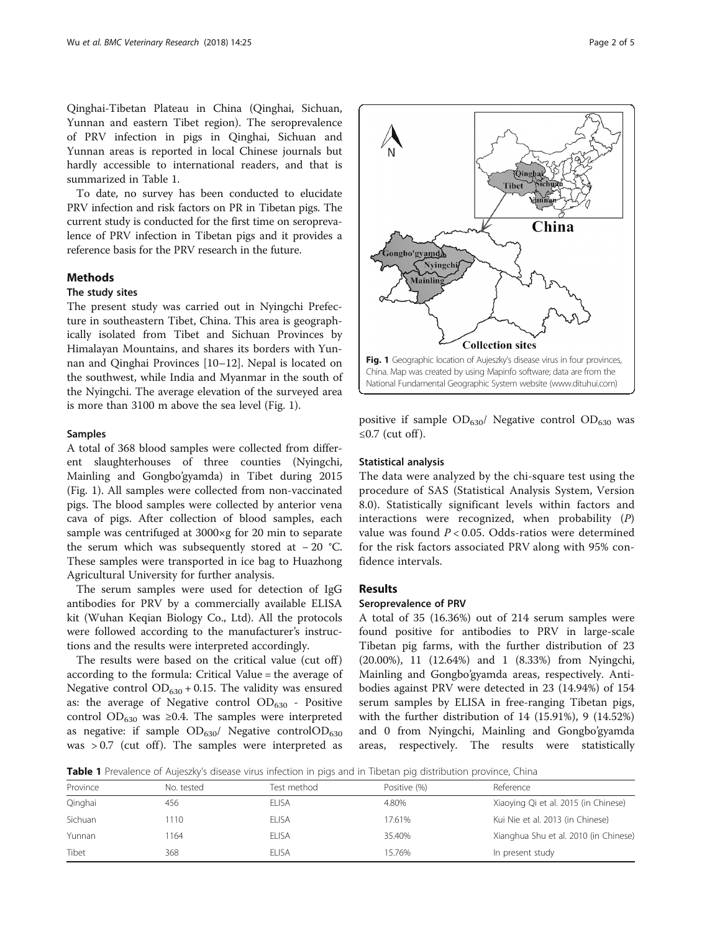Qinghai-Tibetan Plateau in China (Qinghai, Sichuan, Yunnan and eastern Tibet region). The seroprevalence of PRV infection in pigs in Qinghai, Sichuan and Yunnan areas is reported in local Chinese journals but hardly accessible to international readers, and that is summarized in Table 1.

To date, no survey has been conducted to elucidate PRV infection and risk factors on PR in Tibetan pigs. The current study is conducted for the first time on seroprevalence of PRV infection in Tibetan pigs and it provides a reference basis for the PRV research in the future.

# Methods

# The study sites

The present study was carried out in Nyingchi Prefecture in southeastern Tibet, China. This area is geographically isolated from Tibet and Sichuan Provinces by Himalayan Mountains, and shares its borders with Yunnan and Qinghai Provinces [[10](#page-3-0)–[12](#page-4-0)]. Nepal is located on the southwest, while India and Myanmar in the south of the Nyingchi. The average elevation of the surveyed area is more than 3100 m above the sea level (Fig. 1).

#### Samples

A total of 368 blood samples were collected from different slaughterhouses of three counties (Nyingchi, Mainling and Gongbo'gyamda) in Tibet during 2015 (Fig. 1). All samples were collected from non-vaccinated pigs. The blood samples were collected by anterior vena cava of pigs. After collection of blood samples, each sample was centrifuged at 3000×g for 20 min to separate the serum which was subsequently stored at − 20 °C. These samples were transported in ice bag to Huazhong Agricultural University for further analysis.

The serum samples were used for detection of IgG antibodies for PRV by a commercially available ELISA kit (Wuhan Keqian Biology Co., Ltd). All the protocols were followed according to the manufacturer's instructions and the results were interpreted accordingly.

The results were based on the critical value (cut off) according to the formula: Critical Value = the average of Negative control  $OD_{630} + 0.15$ . The validity was ensured as: the average of Negative control  $OD_{630}$  - Positive control OD<sub>630</sub> was ≥0.4. The samples were interpreted as negative: if sample  $OD_{630}$ / Negative control $OD_{630}$ was  $> 0.7$  (cut off). The samples were interpreted as



positive if sample  $OD_{630}$ / Negative control  $OD_{630}$  was ≤0.7 (cut off).

# Statistical analysis

The data were analyzed by the chi-square test using the procedure of SAS (Statistical Analysis System, Version 8.0). Statistically significant levels within factors and interactions were recognized, when probability  $(P)$ value was found  $P < 0.05$ . Odds-ratios were determined for the risk factors associated PRV along with 95% confidence intervals.

## **Results**

# Seroprevalence of PRV

A total of 35 (16.36%) out of 214 serum samples were found positive for antibodies to PRV in large-scale Tibetan pig farms, with the further distribution of 23 (20.00%), 11 (12.64%) and 1 (8.33%) from Nyingchi, Mainling and Gongbo'gyamda areas, respectively. Antibodies against PRV were detected in 23 (14.94%) of 154 serum samples by ELISA in free-ranging Tibetan pigs, with the further distribution of 14 (15.91%), 9 (14.52%) and 0 from Nyingchi, Mainling and Gongbo'gyamda areas, respectively. The results were statistically

Table 1 Prevalence of Aujeszky's disease virus infection in pigs and in Tibetan pig distribution province, China

| Province | No. tested | Test method  | Positive (%) | Reference                             |
|----------|------------|--------------|--------------|---------------------------------------|
| Qinghai  | 456        | FI ISA       | 4.80%        | Xiaoying Qi et al. 2015 (in Chinese)  |
| Sichuan  | 110        | <b>ELISA</b> | 17.61%       | Kui Nie et al. 2013 (in Chinese)      |
| Yunnan   | 164        | FI ISA       | 35.40%       | Xianghua Shu et al. 2010 (in Chinese) |
| Tibet    | 368        | FI ISA       | 15.76%       | In present study                      |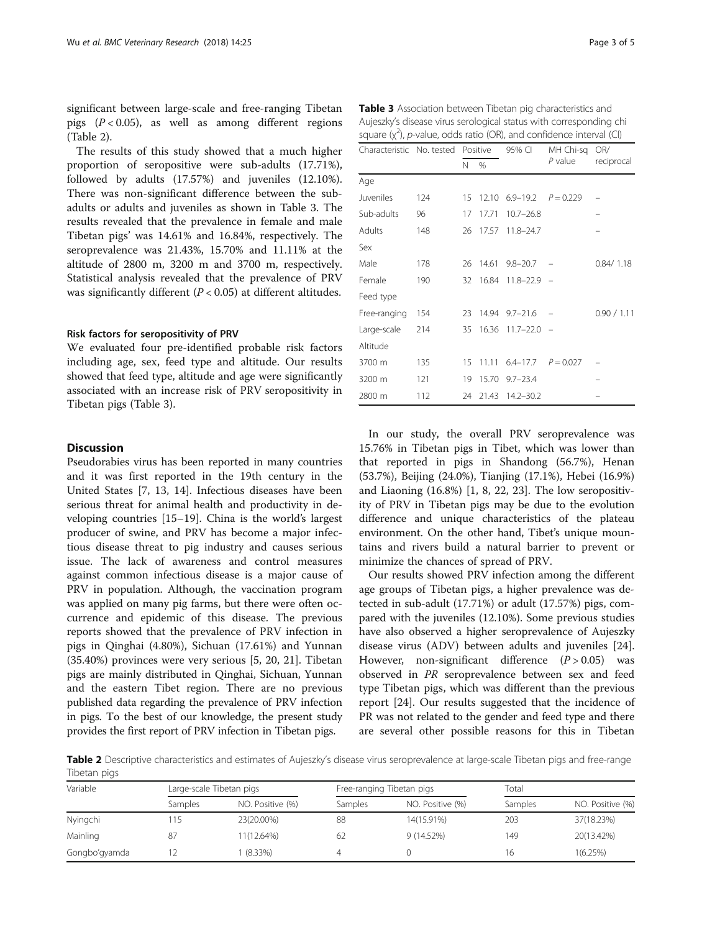significant between large-scale and free-ranging Tibetan pigs  $(P < 0.05)$ , as well as among different regions (Table 2).

The results of this study showed that a much higher proportion of seropositive were sub-adults (17.71%), followed by adults (17.57%) and juveniles (12.10%). There was non-significant difference between the subadults or adults and juveniles as shown in Table 3. The results revealed that the prevalence in female and male Tibetan pigs' was 14.61% and 16.84%, respectively. The seroprevalence was 21.43%, 15.70% and 11.11% at the altitude of 2800 m, 3200 m and 3700 m, respectively. Statistical analysis revealed that the prevalence of PRV was significantly different  $(P < 0.05)$  at different altitudes.

### Risk factors for seropositivity of PRV

We evaluated four pre-identified probable risk factors including age, sex, feed type and altitude. Our results showed that feed type, altitude and age were significantly associated with an increase risk of PRV seropositivity in Tibetan pigs (Table 3).

# **Discussion**

Pseudorabies virus has been reported in many countries and it was first reported in the 19th century in the United States [\[7](#page-3-0), [13](#page-4-0), [14\]](#page-4-0). Infectious diseases have been serious threat for animal health and productivity in developing countries [\[15](#page-4-0)–[19\]](#page-4-0). China is the world's largest producer of swine, and PRV has become a major infectious disease threat to pig industry and causes serious issue. The lack of awareness and control measures against common infectious disease is a major cause of PRV in population. Although, the vaccination program was applied on many pig farms, but there were often occurrence and epidemic of this disease. The previous reports showed that the prevalence of PRV infection in pigs in Qinghai (4.80%), Sichuan (17.61%) and Yunnan (35.40%) provinces were very serious [\[5,](#page-3-0) [20](#page-4-0), [21](#page-4-0)]. Tibetan pigs are mainly distributed in Qinghai, Sichuan, Yunnan and the eastern Tibet region. There are no previous published data regarding the prevalence of PRV infection in pigs. To the best of our knowledge, the present study provides the first report of PRV infection in Tibetan pigs.

Table 3 Association between Tibetan pig characteristics and Aujeszky's disease virus serological status with corresponding chi square  $(x^2)$ , p-value, odds ratio (OR), and confidence interval (CI)

| Characteristic No. tested Positive |     |    |       | 95% CI                       | MH Chi-sa   | OR/         |
|------------------------------------|-----|----|-------|------------------------------|-------------|-------------|
|                                    |     | N  | %     |                              | P value     | reciprocal  |
| Age                                |     |    |       |                              |             |             |
| Juveniles                          | 124 | 15 |       | 12.10 $6.9-19.2$ $P = 0.229$ |             |             |
| Sub-adults                         | 96  | 17 | 17.71 | $10.7 - 26.8$                |             |             |
| Adults                             | 148 | 26 | 17.57 | $11.8 - 24.7$                |             |             |
| Sex                                |     |    |       |                              |             |             |
| Male                               | 178 | 26 | 14.61 | $9.8 - 20.7$                 |             | 0.84/1.18   |
| Female                             | 190 | 32 | 16.84 | $11.8 - 22.9$ -              |             |             |
| Feed type                          |     |    |       |                              |             |             |
| Free-ranging                       | 154 | 23 | 14.94 | $9.7 - 21.6$                 |             | 0.90 / 1.11 |
| Large-scale                        | 214 | 35 | 16.36 | $11.7 - 22.0$                |             |             |
| Altitude                           |     |    |       |                              |             |             |
| 3700 m                             | 135 | 15 | 11.11 | $6.4 - 17.7$                 | $P = 0.027$ |             |
| 3200 m                             | 121 | 19 | 15.70 | $9.7 - 23.4$                 |             |             |
| 2800 m                             | 112 | 24 | 21.43 | $14.2 - 30.2$                |             |             |

In our study, the overall PRV seroprevalence was 15.76% in Tibetan pigs in Tibet, which was lower than that reported in pigs in Shandong (56.7%), Henan (53.7%), Beijing (24.0%), Tianjing (17.1%), Hebei (16.9%) and Liaoning (16.8%) [[1, 8](#page-3-0), [22, 23\]](#page-4-0). The low seropositivity of PRV in Tibetan pigs may be due to the evolution difference and unique characteristics of the plateau environment. On the other hand, Tibet's unique mountains and rivers build a natural barrier to prevent or minimize the chances of spread of PRV.

Our results showed PRV infection among the different age groups of Tibetan pigs, a higher prevalence was detected in sub-adult (17.71%) or adult (17.57%) pigs, compared with the juveniles (12.10%). Some previous studies have also observed a higher seroprevalence of Aujeszky disease virus (ADV) between adults and juveniles [\[24](#page-4-0)]. However, non-significant difference  $(P > 0.05)$  was observed in PR seroprevalence between sex and feed type Tibetan pigs, which was different than the previous report [\[24\]](#page-4-0). Our results suggested that the incidence of PR was not related to the gender and feed type and there are several other possible reasons for this in Tibetan

Table 2 Descriptive characteristics and estimates of Aujeszky's disease virus seroprevalence at large-scale Tibetan pigs and free-range Tibetan pigs

| Variable      |         | Large-scale Tibetan pigs |         | Free-ranging Tibetan pigs |         | Total            |  |
|---------------|---------|--------------------------|---------|---------------------------|---------|------------------|--|
|               | Samples | NO. Positive (%)         | Samples | NO. Positive (%)          | Samples | NO. Positive (%) |  |
| Nyingchi      | 15      | 23(20.00%)               | 88      | 14(15.91%)                | 203     | 37(18.23%)       |  |
| Mainling      | 87      | 11(12.64%)               | 62      | 9 (14.52%)                | 149     | 20(13.42%)       |  |
| Gongbo'gyamda |         | $(8.33\%)$               | 4       |                           | 16      | 1(6.25%)         |  |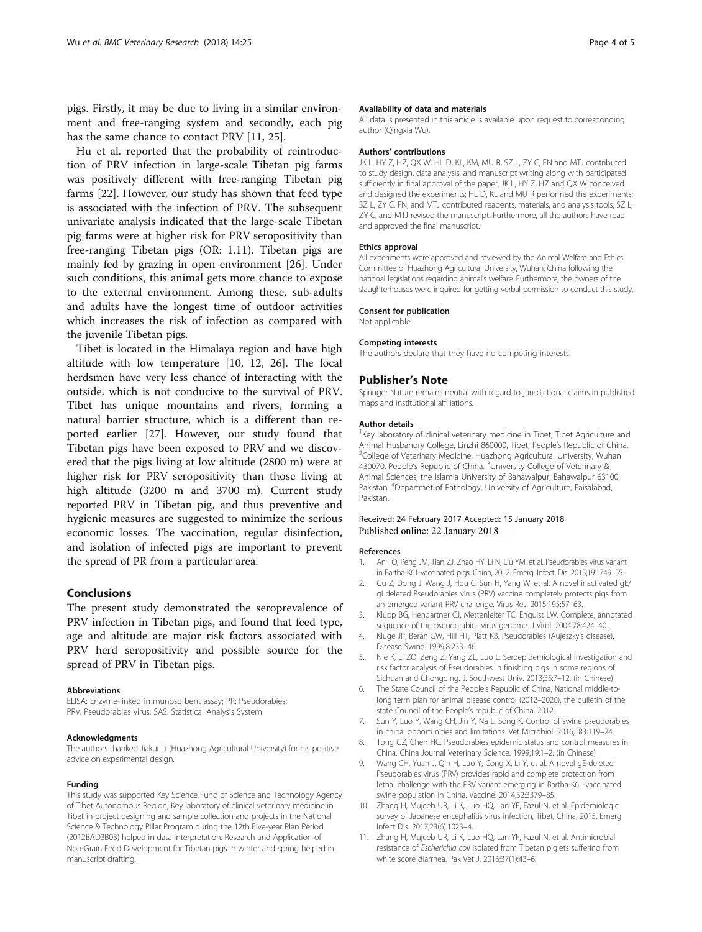<span id="page-3-0"></span>pigs. Firstly, it may be due to living in a similar environment and free-ranging system and secondly, each pig has the same chance to contact PRV [11, [25](#page-4-0)].

Hu et al. reported that the probability of reintroduction of PRV infection in large-scale Tibetan pig farms was positively different with free-ranging Tibetan pig farms [[22\]](#page-4-0). However, our study has shown that feed type is associated with the infection of PRV. The subsequent univariate analysis indicated that the large-scale Tibetan pig farms were at higher risk for PRV seropositivity than free-ranging Tibetan pigs (OR: 1.11). Tibetan pigs are mainly fed by grazing in open environment [[26\]](#page-4-0). Under such conditions, this animal gets more chance to expose to the external environment. Among these, sub-adults and adults have the longest time of outdoor activities which increases the risk of infection as compared with the juvenile Tibetan pigs.

Tibet is located in the Himalaya region and have high altitude with low temperature [10, [12, 26](#page-4-0)]. The local herdsmen have very less chance of interacting with the outside, which is not conducive to the survival of PRV. Tibet has unique mountains and rivers, forming a natural barrier structure, which is a different than reported earlier [\[27](#page-4-0)]. However, our study found that Tibetan pigs have been exposed to PRV and we discovered that the pigs living at low altitude (2800 m) were at higher risk for PRV seropositivity than those living at high altitude (3200 m and 3700 m). Current study reported PRV in Tibetan pig, and thus preventive and hygienic measures are suggested to minimize the serious economic losses. The vaccination, regular disinfection, and isolation of infected pigs are important to prevent the spread of PR from a particular area.

# Conclusions

The present study demonstrated the seroprevalence of PRV infection in Tibetan pigs, and found that feed type, age and altitude are major risk factors associated with PRV herd seropositivity and possible source for the spread of PRV in Tibetan pigs.

#### Abbreviations

ELISA: Enzyme-linked immunosorbent assay; PR: Pseudorabies; PRV: Pseudorabies virus; SAS: Statistical Analysis System

#### Acknowledgments

The authors thanked Jiakui Li (Huazhong Agricultural University) for his positive advice on experimental design.

#### Funding

This study was supported Key Science Fund of Science and Technology Agency of Tibet Autonomous Region, Key laboratory of clinical veterinary medicine in Tibet in project designing and sample collection and projects in the National Science & Technology Pillar Program during the 12th Five-year Plan Period (2012BAD3B03) helped in data interpretation. Research and Application of Non-Grain Feed Development for Tibetan pigs in winter and spring helped in manuscript drafting.

#### Availability of data and materials

All data is presented in this article is available upon request to corresponding author (Qingxia Wu).

#### Authors' contributions

JK L, HY Z, HZ, QX W, HL D, KL, KM, MU R, SZ L, ZY C, FN and MTJ contributed to study design, data analysis, and manuscript writing along with participated sufficiently in final approval of the paper. JK L, HY Z, HZ and QX W conceived and designed the experiments; HL D, KL and MU R performed the experiments; SZ L, ZY C, FN, and MTJ contributed reagents, materials, and analysis tools; SZ L, ZY C, and MTJ revised the manuscript. Furthermore, all the authors have read and approved the final manuscript.

#### Ethics approval

All experiments were approved and reviewed by the Animal Welfare and Ethics Committee of Huazhong Agricultural University, Wuhan, China following the national legislations regarding animal's welfare. Furthermore, the owners of the slaughterhouses were inquired for getting verbal permission to conduct this study.

#### Consent for publication

Not applicable

#### Competing interests

The authors declare that they have no competing interests.

#### Publisher's Note

Springer Nature remains neutral with regard to jurisdictional claims in published maps and institutional affiliations.

#### Author details

<sup>1</sup>Key laboratory of clinical veterinary medicine in Tibet, Tibet Agriculture and Animal Husbandry College, Linzhi 860000, Tibet, People's Republic of China. <sup>2</sup> <sup>2</sup>College of Veterinary Medicine, Huazhong Agricultural University, Wuhan 430070, People's Republic of China. <sup>3</sup>University College of Veterinary & Animal Sciences, the Islamia University of Bahawalpur, Bahawalpur 63100, Pakistan. <sup>4</sup>Departmet of Pathology, University of Agriculture, Faisalabad Pakistan.

# Received: 24 February 2017 Accepted: 15 January 2018 Published online: 22 January 2018

#### References

- 1. An TQ, Peng JM, Tian ZJ, Zhao HY, Li N, Liu YM, et al. Pseudorabies virus variant in Bartha-K61-vaccinated pigs, China, 2012. Emerg. Infect. Dis. 2015;19:1749–55.
- 2. Gu Z, Dong J, Wang J, Hou C, Sun H, Yang W, et al. A novel inactivated gE/ gI deleted Pseudorabies virus (PRV) vaccine completely protects pigs from an emerged variant PRV challenge. Virus Res. 2015;195:57–63.
- 3. Klupp BG, Hengartner CJ, Mettenleiter TC, Enquist LW. Complete, annotated sequence of the pseudorabies virus genome. J Virol. 2004;78:424–40.
- 4. Kluge JP, Beran GW, Hill HT, Platt KB. Pseudorabies (Aujeszky's disease). Disease Swine. 1999;8:233–46.
- 5. Nie K, Li ZQ, Zeng Z, Yang ZL, Luo L. Seroepidemiological investigation and risk factor analysis of Pseudorabies in finishing pigs in some regions of Sichuan and Chongqing. J. Southwest Univ. 2013;35:7–12. (in Chinese)
- The State Council of the People's Republic of China, National middle-tolong term plan for animal disease control (2012–2020), the bulletin of the state Council of the People's republic of China, 2012.
- 7. Sun Y, Luo Y, Wang CH, Jin Y, Na L, Song K. Control of swine pseudorabies in china: opportunities and limitations. Vet Microbiol. 2016;183:119–24.
- 8. Tong GZ, Chen HC. Pseudorabies epidemic status and control measures in China. China Journal Veterinary Science. 1999;19:1–2. (in Chinese)
- 9. Wang CH, Yuan J, Qin H, Luo Y, Cong X, Li Y, et al. A novel gE-deleted Pseudorabies virus (PRV) provides rapid and complete protection from lethal challenge with the PRV variant emerging in Bartha-K61-vaccinated swine population in China. Vaccine. 2014;32:3379–85.
- 10. Zhang H, Mujeeb UR, Li K, Luo HQ, Lan YF, Fazul N, et al. Epidemiologic survey of Japanese encephalitis virus infection, Tibet, China, 2015. Emerg Infect Dis. 2017;23(6):1023–4.
- 11. Zhang H, Mujeeb UR, Li K, Luo HQ, Lan YF, Fazul N, et al. Antimicrobial resistance of Escherichia coli isolated from Tibetan piglets suffering from white score diarrhea. Pak Vet J. 2016;37(1):43–6.